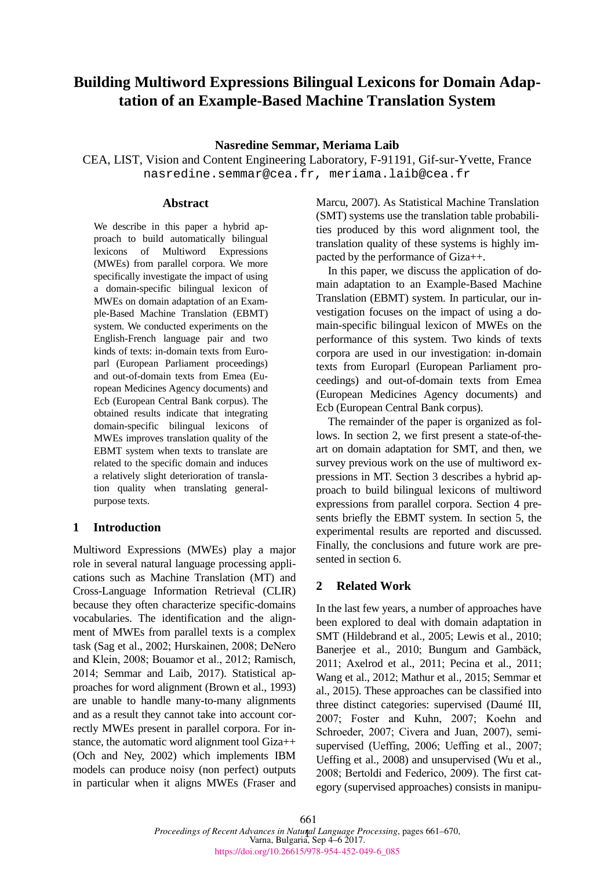# **Building Multiword Expressions Bilingual Lexicons for Domain Adaptation of an Example-Based Machine Translation System**

### **Nasredine Semmar, Meriama Laib**

CEA, LIST, Vision and Content Engineering Laboratory, F-91191, Gif-sur-Yvette, France nasredine.semmar@cea.fr, meriama.laib@cea.fr

### **Abstract**

We describe in this paper a hybrid approach to build automatically bilingual lexicons of Multiword Expressions (MWEs) from parallel corpora. We more specifically investigate the impact of using a domain-specific bilingual lexicon of MWEs on domain adaptation of an Example-Based Machine Translation (EBMT) system. We conducted experiments on the English-French language pair and two kinds of texts: in-domain texts from Europarl (European Parliament proceedings) and out-of-domain texts from Emea (European Medicines Agency documents) and Ecb (European Central Bank corpus). The obtained results indicate that integrating domain-specific bilingual lexicons of MWEs improves translation quality of the EBMT system when texts to translate are related to the specific domain and induces a relatively slight deterioration of translation quality when translating generalpurpose texts.

### **1 Introduction**

Multiword Expressions (MWEs) play a major role in several natural language processing applications such as Machine Translation (MT) and Cross-Language Information Retrieval (CLIR) because they often characterize specific-domains vocabularies. The identification and the alignment of MWEs from parallel texts is a complex task (Sag et al., 2002; Hurskainen, 2008; DeNero and Klein, 2008; Bouamor et al., 2012; Ramisch, 2014; Semmar and Laib, 2017). Statistical approaches for word alignment (Brown et al., 1993) are unable to handle many-to-many alignments and as a result they cannot take into account correctly MWEs present in parallel corpora. For instance, the automatic word alignment tool Giza++ (Och and Ney, 2002) which implements IBM models can produce noisy (non perfect) outputs in particular when it aligns MWEs (Fraser and

Marcu, 2007). As Statistical Machine Translation (SMT) systems use the translation table probabilities produced by this word alignment tool, the translation quality of these systems is highly impacted by the performance of Giza++.

In this paper, we discuss the application of domain adaptation to an Example-Based Machine Translation (EBMT) system. In particular, our investigation focuses on the impact of using a domain-specific bilingual lexicon of MWEs on the performance of this system. Two kinds of texts corpora are used in our investigation: in-domain texts from Europarl (European Parliament proceedings) and out-of-domain texts from Emea (European Medicines Agency documents) and Ecb (European Central Bank corpus).

The remainder of the paper is organized as follows. In section 2, we first present a state-of-theart on domain adaptation for SMT, and then, we survey previous work on the use of multiword expressions in MT. Section 3 describes a hybrid approach to build bilingual lexicons of multiword expressions from parallel corpora. Section 4 presents briefly the EBMT system. In section 5, the experimental results are reported and discussed. Finally, the conclusions and future work are presented in section 6.

# **2 Related Work**

In the last few years, a number of approaches have been explored to deal with domain adaptation in SMT (Hildebrand et al., 2005; Lewis et al., 2010; Banerjee et al., 2010; Bungum and Gambäck, 2011; Axelrod et al., 2011; Pecina et al., 2011; Wang et al., 2012; Mathur et al., 2015; Semmar et al., 2015). These approaches can be classified into three distinct categories: supervised (Daumé III, 2007; Foster and Kuhn, 2007; Koehn and Schroeder, 2007; Civera and Juan, 2007), semisupervised (Ueffing, 2006; Ueffing et al., 2007; Ueffing et al., 2008) and unsupervised (Wu et al., 2008; Bertoldi and Federico, 2009). The first category (supervised approaches) consists in manipu-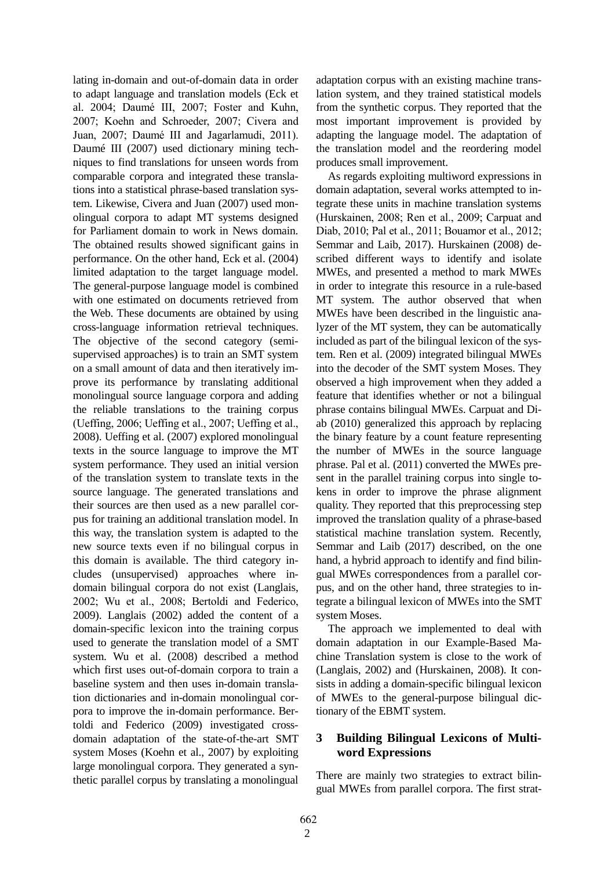lating in-domain and out-of-domain data in order to adapt language and translation models (Eck et al. 2004; Daumé III, 2007; Foster and Kuhn, 2007; Koehn and Schroeder, 2007; Civera and Juan, 2007; Daumé III and Jagarlamudi, 2011). Daumé III (2007) used dictionary mining techniques to find translations for unseen words from comparable corpora and integrated these translations into a statistical phrase-based translation system. Likewise, Civera and Juan (2007) used monolingual corpora to adapt MT systems designed for Parliament domain to work in News domain. The obtained results showed significant gains in performance. On the other hand, Eck et al. (2004) limited adaptation to the target language model. The general-purpose language model is combined with one estimated on documents retrieved from the Web. These documents are obtained by using cross-language information retrieval techniques. The objective of the second category (semisupervised approaches) is to train an SMT system on a small amount of data and then iteratively improve its performance by translating additional monolingual source language corpora and adding the reliable translations to the training corpus (Ueffing, 2006; Ueffing et al., 2007; Ueffing et al., 2008). Ueffing et al. (2007) explored monolingual texts in the source language to improve the MT system performance. They used an initial version of the translation system to translate texts in the source language. The generated translations and their sources are then used as a new parallel corpus for training an additional translation model. In this way, the translation system is adapted to the new source texts even if no bilingual corpus in this domain is available. The third category includes (unsupervised) approaches where indomain bilingual corpora do not exist (Langlais, 2002; Wu et al., 2008; Bertoldi and Federico, 2009). Langlais (2002) added the content of a domain-specific lexicon into the training corpus used to generate the translation model of a SMT system. Wu et al. (2008) described a method which first uses out-of-domain corpora to train a baseline system and then uses in-domain translation dictionaries and in-domain monolingual corpora to improve the in-domain performance. Bertoldi and Federico (2009) investigated crossdomain adaptation of the state-of-the-art SMT system Moses (Koehn et al., 2007) by exploiting large monolingual corpora. They generated a synthetic parallel corpus by translating a monolingual

adaptation corpus with an existing machine translation system, and they trained statistical models from the synthetic corpus. They reported that the most important improvement is provided by adapting the language model. The adaptation of the translation model and the reordering model produces small improvement.

As regards exploiting multiword expressions in domain adaptation, several works attempted to integrate these units in machine translation systems (Hurskainen, 2008; Ren et al., 2009; Carpuat and Diab, 2010; Pal et al., 2011; Bouamor et al., 2012; Semmar and Laib, 2017). Hurskainen (2008) described different ways to identify and isolate MWEs, and presented a method to mark MWEs in order to integrate this resource in a rule-based MT system. The author observed that when MWEs have been described in the linguistic analyzer of the MT system, they can be automatically included as part of the bilingual lexicon of the system. Ren et al. (2009) integrated bilingual MWEs into the decoder of the SMT system Moses. They observed a high improvement when they added a feature that identifies whether or not a bilingual phrase contains bilingual MWEs. Carpuat and Diab (2010) generalized this approach by replacing the binary feature by a count feature representing the number of MWEs in the source language phrase. Pal et al. (2011) converted the MWEs present in the parallel training corpus into single tokens in order to improve the phrase alignment quality. They reported that this preprocessing step improved the translation quality of a phrase-based statistical machine translation system. Recently, Semmar and Laib (2017) described, on the one hand, a hybrid approach to identify and find bilingual MWEs correspondences from a parallel corpus, and on the other hand, three strategies to integrate a bilingual lexicon of MWEs into the SMT system Moses.

The approach we implemented to deal with domain adaptation in our Example-Based Machine Translation system is close to the work of (Langlais, 2002) and (Hurskainen, 2008). It consists in adding a domain-specific bilingual lexicon of MWEs to the general-purpose bilingual dictionary of the EBMT system.

# **3 Building Bilingual Lexicons of Multiword Expressions**

There are mainly two strategies to extract bilingual MWEs from parallel corpora. The first strat-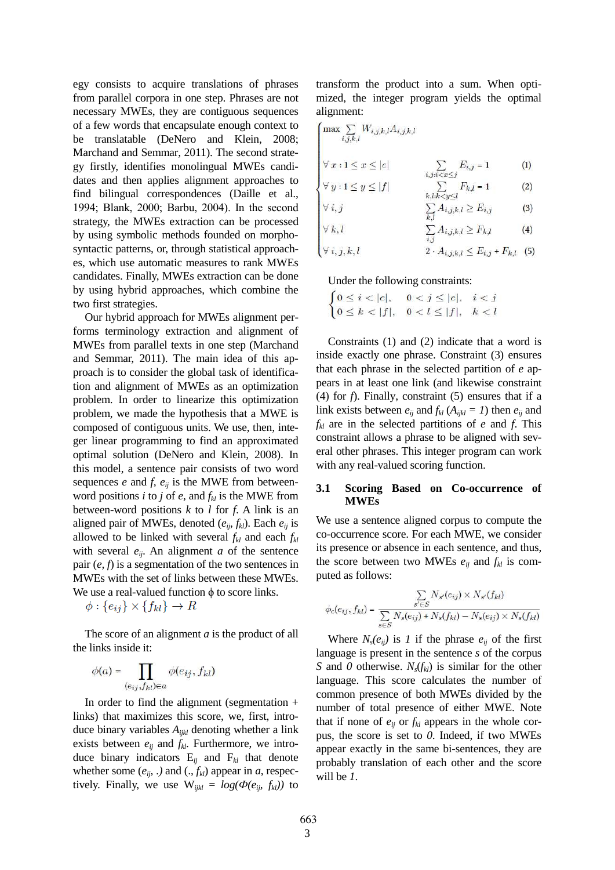egy consists to acquire translations of phrases from parallel corpora in one step. Phrases are not necessary MWEs, they are contiguous sequences of a few words that encapsulate enough context to be translatable (DeNero and Klein, 2008; Marchand and Semmar, 2011). The second strategy firstly, identifies monolingual MWEs candidates and then applies alignment approaches to find bilingual correspondences (Daille et al., 1994; Blank, 2000; Barbu, 2004). In the second strategy, the MWEs extraction can be processed by using symbolic methods founded on morphosyntactic patterns, or, through statistical approaches, which use automatic measures to rank MWEs candidates. Finally, MWEs extraction can be done by using hybrid approaches, which combine the two first strategies.

Our hybrid approach for MWEs alignment performs terminology extraction and alignment of MWEs from parallel texts in one step (Marchand and Semmar, 2011). The main idea of this approach is to consider the global task of identification and alignment of MWEs as an optimization problem. In order to linearize this optimization problem, we made the hypothesis that a MWE is composed of contiguous units. We use, then, integer linear programming to find an approximated optimal solution (DeNero and Klein, 2008). In this model, a sentence pair consists of two word sequences  $e$  and  $f$ ,  $e_{ij}$  is the MWE from betweenword positions *i* to *j* of *e*, and  $f_{kl}$  is the MWE from between-word positions *k* to *l* for *f*. A link is an aligned pair of MWEs, denoted  $(e_{ii}, f_{kl})$ . Each  $e_{ii}$  is allowed to be linked with several  $f_{kl}$  and each  $f_{kl}$ with several  $e_{ij}$ . An alignment *a* of the sentence pair (*e, f*) is a segmentation of the two sentences in MWEs with the set of links between these MWEs. We use a real-valued function  $\phi$  to score links.

 $\phi: \{e_{ij}\}\times\{f_{kl}\}\rightarrow R$ 

The score of an alignment *a* is the product of all the links inside it:

$$
\phi(a) = \prod_{(e_{ij}, f_{kl}) \in a} \phi(e_{ij}, f_{kl})
$$

In order to find the alignment (segmentation + links) that maximizes this score, we, first, introduce binary variables *Aijkl* denoting whether a link exists between  $e_{ij}$  and  $f_{kl}$ . Furthermore, we introduce binary indicators E*ij* and F*kl* that denote whether some  $(e_{ij},.)$  and  $(., f_{kl})$  appear in *a*, respectively. Finally, we use  $W_{ijkl} = log(\Phi(e_{ij}, f_{kl}))$  to

transform the product into a sum. When optimized, the integer program yields the optimal alignment:

$$
\begin{cases}\n\max \sum_{i,j,k,l} W_{i,j,k,l} A_{i,j,k,l} \\
\forall x : 1 \leq x \leq |e| & \sum_{i,j:i < x \leq j} E_{i,j} = 1 \\
\forall y : 1 \leq y \leq |f| & \sum_{k,l:k < v < l} F_{k,l} = 1\n\end{cases} \tag{1}
$$

$$
\forall i, j \qquad \qquad \sum_{k,i} A_{i,k,l} > E_{i,j} \qquad (3)
$$

$$
\forall k, l \qquad \sum_{k,l} A_{i,j,k,l} \ge F_{k,l} \qquad (4)
$$

$$
\forall i, j, k, l \quad 2 \cdot A_{i,j,k,l} \le E_{i,j} + F_{k,l} \quad (5)
$$

Under the following constraints:

 $\begin{cases} 0 \leq i < |e|, & 0 < j \leq |e|, & i < j \\ 0 \leq k < |f|, & 0 < l \leq |f|, & k < l \end{cases}$ 

Constraints (1) and (2) indicate that a word is inside exactly one phrase. Constraint (3) ensures that each phrase in the selected partition of *e* appears in at least one link (and likewise constraint (4) for *f*). Finally, constraint (5) ensures that if a link exists between  $e_{ij}$  and  $f_{kl}$  ( $A_{ijkl} = 1$ ) then  $e_{ij}$  and  $f_k$  are in the selected partitions of *e* and *f*. This constraint allows a phrase to be aligned with several other phrases. This integer program can work with any real-valued scoring function.

#### **3.1 Scoring Based on Co-occurrence of MWEs**

We use a sentence aligned corpus to compute the co-occurrence score. For each MWE, we consider its presence or absence in each sentence, and thus, the score between two MWEs  $e_{ii}$  and  $f_{kl}$  is computed as follows:

$$
\phi_c(e_{ij}, f_{kl}) = \frac{\sum\limits_{s' \in S} N_{s'}(e_{ij}) \times N_{s'}(f_{kl})}{\sum\limits_{s \in S} N_s(e_{ij}) + N_s(f_{kl}) - N_s(e_{ij}) \times N_s(f_{kl})}
$$

Where  $N_s(e_{ii})$  is *1* if the phrase  $e_{ii}$  of the first language is present in the sentence *s* of the corpus *S* and *0* otherwise. *Ns*(*fkl*) is similar for the other language. This score calculates the number of common presence of both MWEs divided by the number of total presence of either MWE. Note that if none of  $e_{ii}$  or  $f_{kl}$  appears in the whole corpus, the score is set to *0*. Indeed, if two MWEs appear exactly in the same bi-sentences, they are probably translation of each other and the score will be *1*.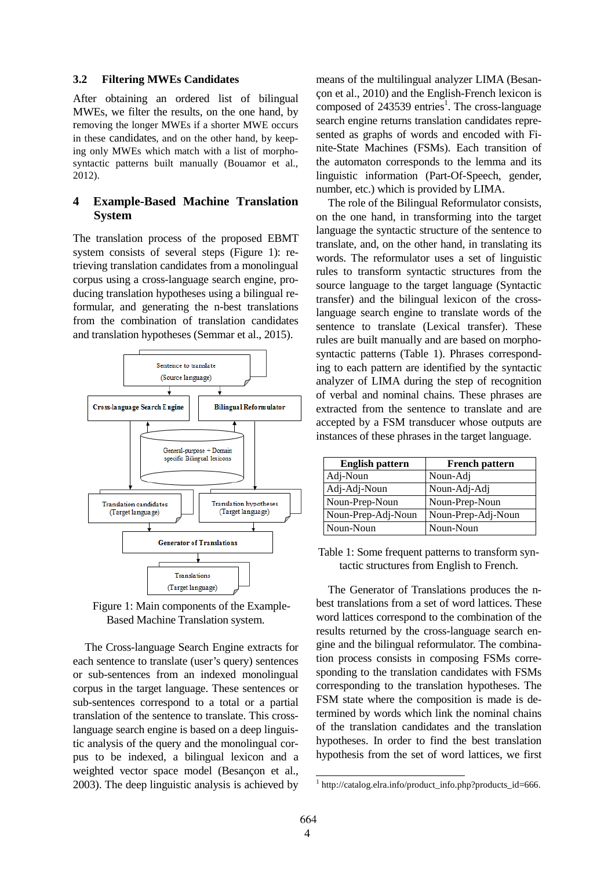#### **3.2 Filtering MWEs Candidates**

After obtaining an ordered list of bilingual MWEs, we filter the results, on the one hand, by removing the longer MWEs if a shorter MWE occurs in these candidates, and on the other hand, by keeping only MWEs which match with a list of morphosyntactic patterns built manually (Bouamor et al., 2012).

# **4 Example-Based Machine Translation System**

The translation process of the proposed EBMT system consists of several steps (Figure 1): retrieving translation candidates from a monolingual corpus using a cross-language search engine, producing translation hypotheses using a bilingual reformular, and generating the n-best translations from the combination of translation candidates and translation hypotheses (Semmar et al., 2015).



Figure 1: Main components of the Example-Based Machine Translation system.

The Cross-language Search Engine extracts for each sentence to translate (user's query) sentences or sub-sentences from an indexed monolingual corpus in the target language. These sentences or sub-sentences correspond to a total or a partial translation of the sentence to translate. This crosslanguage search engine is based on a deep linguistic analysis of the query and the monolingual corpus to be indexed, a bilingual lexicon and a weighted vector space model (Besançon et al., 2003). The deep linguistic analysis is achieved by means of the multilingual analyzer LIMA (Besançon et al., 2010) and the English-French lexicon is composed of 243539 entries<sup>1</sup>. The cross-language search engine returns translation candidates represented as graphs of words and encoded with Finite-State Machines (FSMs). Each transition of the automaton corresponds to the lemma and its linguistic information (Part-Of-Speech, gender, number, etc.) which is provided by LIMA.

The role of the Bilingual Reformulator consists, on the one hand, in transforming into the target language the syntactic structure of the sentence to translate, and, on the other hand, in translating its words. The reformulator uses a set of linguistic rules to transform syntactic structures from the source language to the target language (Syntactic transfer) and the bilingual lexicon of the crosslanguage search engine to translate words of the sentence to translate (Lexical transfer). These rules are built manually and are based on morphosyntactic patterns (Table 1). Phrases corresponding to each pattern are identified by the syntactic analyzer of LIMA during the step of recognition of verbal and nominal chains. These phrases are extracted from the sentence to translate and are accepted by a FSM transducer whose outputs are instances of these phrases in the target language.

| <b>English pattern</b> | <b>French pattern</b> |
|------------------------|-----------------------|
| Adj-Noun               | Noun-Adj              |
| Adj-Adj-Noun           | Noun-Adj-Adj          |
| Noun-Prep-Noun         | Noun-Prep-Noun        |
| Noun-Prep-Adj-Noun     | Noun-Prep-Adj-Noun    |
| Noun-Noun              | Noun-Noun             |

Table 1: Some frequent patterns to transform syntactic structures from English to French.

The Generator of Translations produces the nbest translations from a set of word lattices. These word lattices correspond to the combination of the results returned by the cross-language search engine and the bilingual reformulator. The combination process consists in composing FSMs corresponding to the translation candidates with FSMs corresponding to the translation hypotheses. The FSM state where the composition is made is determined by words which link the nominal chains of the translation candidates and the translation hypotheses. In order to find the best translation hypothesis from the set of word lattices, we first

 1 http://catalog.elra.info/product\_info.php?products\_id=666.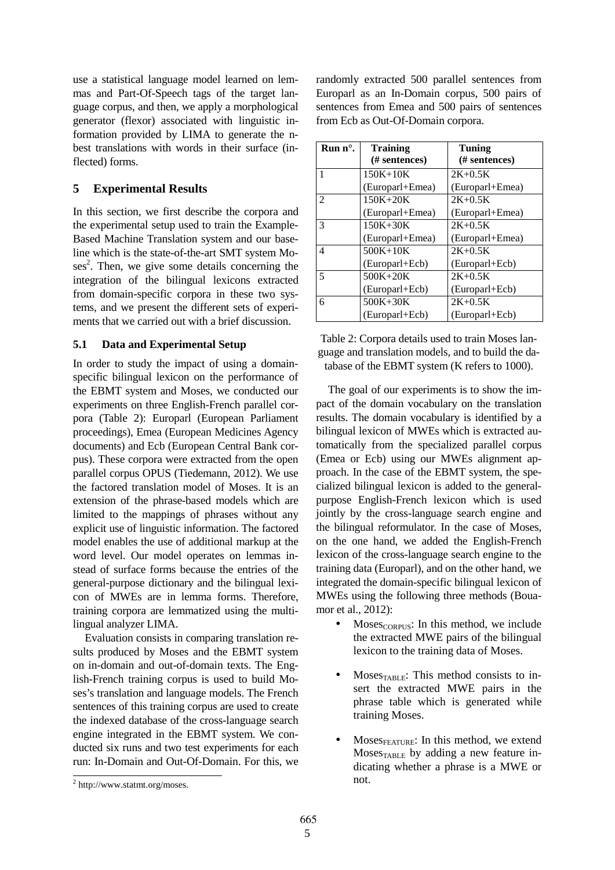use a statistical language model learned on lemmas and Part-Of-Speech tags of the target language corpus, and then, we apply a morphological generator (flexor) associated with linguistic information provided by LIMA to generate the nbest translations with words in their surface (inflected) forms.

# **5 Experimental Results**

In this section, we first describe the corpora and the experimental setup used to train the Example-Based Machine Translation system and our baseline which is the state-of-the-art SMT system Moses<sup>2</sup>. Then, we give some details concerning the integration of the bilingual lexicons extracted from domain-specific corpora in these two systems, and we present the different sets of experiments that we carried out with a brief discussion.

### **5.1 Data and Experimental Setup**

In order to study the impact of using a domainspecific bilingual lexicon on the performance of the EBMT system and Moses, we conducted our experiments on three English-French parallel corpora (Table 2): Europarl (European Parliament proceedings), Emea (European Medicines Agency documents) and Ecb (European Central Bank corpus). These corpora were extracted from the open parallel corpus OPUS (Tiedemann, 2012). We use the factored translation model of Moses. It is an extension of the phrase-based models which are limited to the mappings of phrases without any explicit use of linguistic information. The factored model enables the use of additional markup at the word level. Our model operates on lemmas instead of surface forms because the entries of the general-purpose dictionary and the bilingual lexicon of MWEs are in lemma forms. Therefore, training corpora are lemmatized using the multilingual analyzer LIMA.

Evaluation consists in comparing translation results produced by Moses and the EBMT system on in-domain and out-of-domain texts. The English-French training corpus is used to build Moses's translation and language models. The French sentences of this training corpus are used to create the indexed database of the cross-language search engine integrated in the EBMT system. We conducted six runs and two test experiments for each run: In-Domain and Out-Of-Domain. For this, we

randomly extracted 500 parallel sentences from Europarl as an In-Domain corpus, 500 pairs of sentences from Emea and 500 pairs of sentences from Ecb as Out-Of-Domain corpora.

| $Run n^{\circ}$ . | <b>Training</b><br><b>Tuning</b> |                 |
|-------------------|----------------------------------|-----------------|
|                   | (# sentences)                    | (# sentences)   |
| 1                 | $150K + 10K$                     | $2K + 0.5K$     |
|                   | (Europarl+Emea)                  | (Europarl+Emea) |
| 2                 | $150K + 20K$                     | $2K + 0.5K$     |
|                   | (Europarl+Emea)                  | (Europarl+Emea) |
| 3                 | $150K + 30K$                     | $2K + 0.5K$     |
|                   | (Europarl+Emea)                  | (Europarl+Emea) |
| 4                 | $500K + 10K$                     | $2K + 0.5K$     |
|                   | (Europarl+Ecb)                   | (Europarl+Ecb)  |
| 5                 | $500K + 20K$                     | $2K + 0.5K$     |
|                   | (Europarl+Ecb)                   | (Europarl+Ecb)  |
| 6                 | $500K + 30K$                     | $2K + 0.5K$     |
|                   | (Europarl+Ecb)                   | (Europarl+Ecb)  |

Table 2: Corpora details used to train Moses language and translation models, and to build the database of the EBMT system (K refers to 1000).

The goal of our experiments is to show the impact of the domain vocabulary on the translation results. The domain vocabulary is identified by a bilingual lexicon of MWEs which is extracted automatically from the specialized parallel corpus (Emea or Ecb) using our MWEs alignment approach. In the case of the EBMT system, the specialized bilingual lexicon is added to the generalpurpose English-French lexicon which is used jointly by the cross-language search engine and the bilingual reformulator. In the case of Moses, on the one hand, we added the English-French lexicon of the cross-language search engine to the training data (Europarl), and on the other hand, we integrated the domain-specific bilingual lexicon of MWEs using the following three methods (Bouamor et al., 2012):

- Moses<sub>CORPUS</sub>: In this method, we include the extracted MWE pairs of the bilingual lexicon to the training data of Moses.
- $Moses<sub>TABLE</sub>: This method consists to in$ sert the extracted MWE pairs in the phrase table which is generated while training Moses.
- $Moses_{\text{FEATURE}}$ : In this method, we extend Moses $_{\text{TARIF}}$  by adding a new feature indicating whether a phrase is a MWE or not.

<sup>&</sup>lt;sup>2</sup> http://www.statmt.org/moses.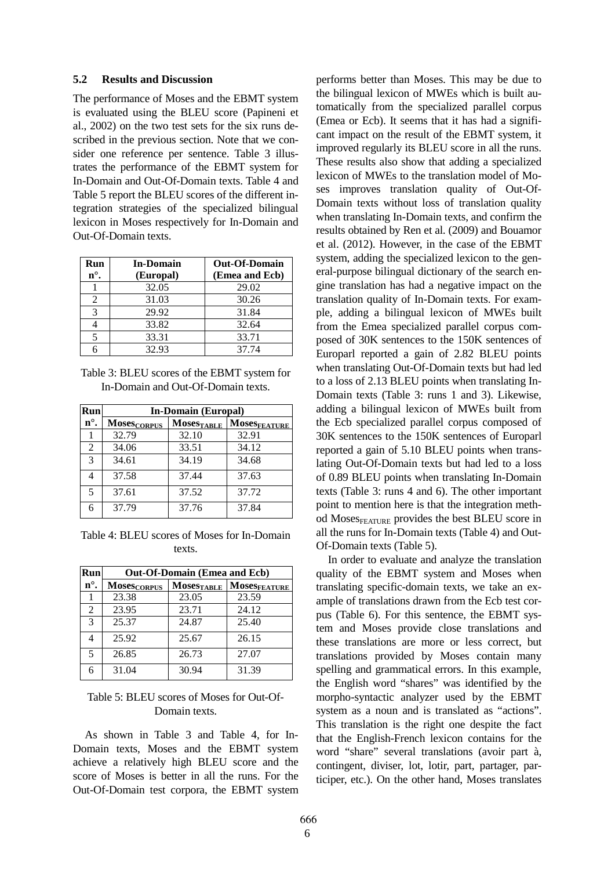#### **5.2 Results and Discussion**

The performance of Moses and the EBMT system is evaluated using the BLEU score (Papineni et al., 2002) on the two test sets for the six runs described in the previous section. Note that we consider one reference per sentence. Table 3 illustrates the performance of the EBMT system for In-Domain and Out-Of-Domain texts. Table 4 and Table 5 report the BLEU scores of the different integration strategies of the specialized bilingual lexicon in Moses respectively for In-Domain and Out-Of-Domain texts.

| Run<br>$n^{\circ}$ .        | <b>In-Domain</b><br>(Europal) | <b>Out-Of-Domain</b><br>(Emea and Ecb) |
|-----------------------------|-------------------------------|----------------------------------------|
|                             | 32.05                         | 29.02                                  |
| $\mathcal{D}_{\mathcal{L}}$ | 31.03                         | 30.26                                  |
| 3                           | 29.92                         | 31.84                                  |
|                             | 33.82                         | 32.64                                  |
|                             | 33.31                         | 33.71                                  |
|                             | 32.93                         | 37.74                                  |

Table 3: BLEU scores of the EBMT system for In-Domain and Out-Of-Domain texts.

| Run                      | <b>In-Domain (Europal)</b> |                        |                          |
|--------------------------|----------------------------|------------------------|--------------------------|
| $n^{\circ}$ .            | <b>Moses</b> CORPUS        | Moses <sub>TABLE</sub> | Moses <sub>FEATURE</sub> |
|                          | 32.79                      | 32.10                  | 32.91                    |
| 2                        | 34.06                      | 33.51                  | 34.12                    |
| 3                        | 34.61                      | 34.19                  | 34.68                    |
|                          | 37.58                      | 37.44                  | 37.63                    |
| $\overline{\phantom{0}}$ | 37.61                      | 37.52                  | 37.72                    |
| 6                        | 37.79                      | 37.76                  | 37.84                    |

Table 4: BLEU scores of Moses for In-Domain texts.

| Run                      | <b>Out-Of-Domain (Emea and Ecb)</b> |                   |                          |
|--------------------------|-------------------------------------|-------------------|--------------------------|
| $n^{\circ}$ .            | <b>MOSESCORPUS</b>                  | <b>MOSESTABLE</b> | Moses <sub>FEATURE</sub> |
|                          | 23.38                               | 23.05             | 23.59                    |
| 2                        | 23.95                               | 23.71             | 24.12                    |
| 3                        | 25.37                               | 24.87             | 25.40                    |
| 4                        | 25.92                               | 25.67             | 26.15                    |
| $\overline{\phantom{0}}$ | 26.85                               | 26.73             | 27.07                    |
| 6                        | 31.04                               | 30.94             | 31.39                    |

### Table 5: BLEU scores of Moses for Out-Of-Domain texts.

As shown in Table 3 and Table 4, for In-Domain texts, Moses and the EBMT system achieve a relatively high BLEU score and the score of Moses is better in all the runs. For the Out-Of-Domain test corpora, the EBMT system performs better than Moses. This may be due to the bilingual lexicon of MWEs which is built automatically from the specialized parallel corpus (Emea or Ecb). It seems that it has had a significant impact on the result of the EBMT system, it improved regularly its BLEU score in all the runs. These results also show that adding a specialized lexicon of MWEs to the translation model of Moses improves translation quality of Out-Of-Domain texts without loss of translation quality when translating In-Domain texts, and confirm the results obtained by Ren et al. (2009) and Bouamor et al. (2012). However, in the case of the EBMT system, adding the specialized lexicon to the general-purpose bilingual dictionary of the search engine translation has had a negative impact on the translation quality of In-Domain texts. For example, adding a bilingual lexicon of MWEs built from the Emea specialized parallel corpus composed of 30K sentences to the 150K sentences of Europarl reported a gain of 2.82 BLEU points when translating Out-Of-Domain texts but had led to a loss of 2.13 BLEU points when translating In-Domain texts (Table 3: runs 1 and 3). Likewise, adding a bilingual lexicon of MWEs built from the Ecb specialized parallel corpus composed of 30K sentences to the 150K sentences of Europarl reported a gain of 5.10 BLEU points when translating Out-Of-Domain texts but had led to a loss of 0.89 BLEU points when translating In-Domain texts (Table 3: runs 4 and 6). The other important point to mention here is that the integration method Moses<sub>FEATURE</sub> provides the best BLEU score in all the runs for In-Domain texts (Table 4) and Out-Of-Domain texts (Table 5).

In order to evaluate and analyze the translation quality of the EBMT system and Moses when translating specific-domain texts, we take an example of translations drawn from the Ecb test corpus (Table 6). For this sentence, the EBMT system and Moses provide close translations and these translations are more or less correct, but translations provided by Moses contain many spelling and grammatical errors. In this example, the English word "shares" was identified by the morpho-syntactic analyzer used by the EBMT system as a noun and is translated as "actions". This translation is the right one despite the fact that the English-French lexicon contains for the word "share" several translations (avoir part à, contingent, diviser, lot, lotir, part, partager, participer, etc.). On the other hand, Moses translates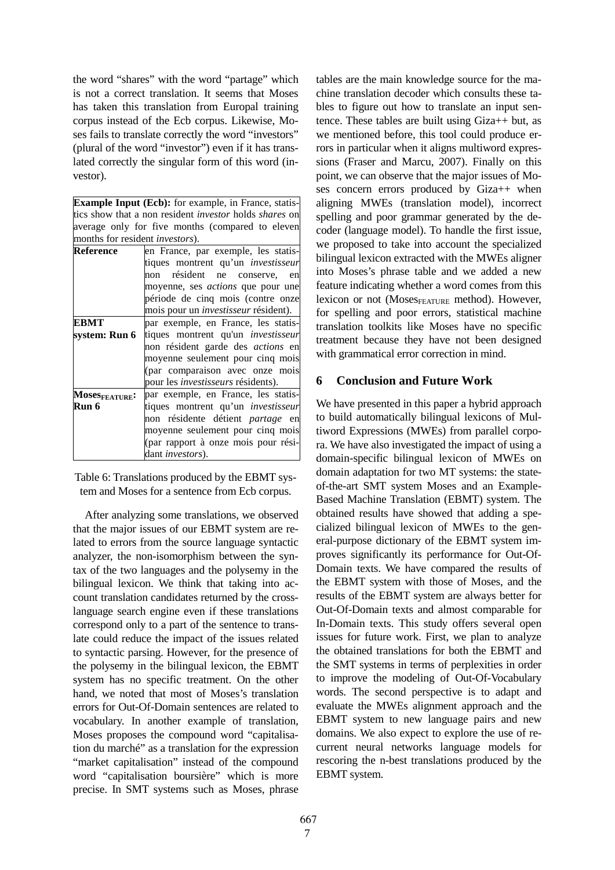the word "shares" with the word "partage" which is not a correct translation. It seems that Moses has taken this translation from Europal training corpus instead of the Ecb corpus. Likewise, Moses fails to translate correctly the word "investors" (plural of the word "investor") even if it has translated correctly the singular form of this word (investor).

**Example Input (Ecb):** for example, in France, statistics show that a non resident *investor* holds *shares* on average only for five months (compared to eleven months for resident *investors*).

| <b>Reference</b> | en France, par exemple, les statis-         |  |  |
|------------------|---------------------------------------------|--|--|
|                  | tiques montrent qu'un <i>investisseur</i>   |  |  |
|                  | non résident ne conserve, en                |  |  |
|                  | moyenne, ses <i>actions</i> que pour une    |  |  |
|                  | période de cinq mois (contre onze           |  |  |
|                  | mois pour un <i>investisseur</i> résident). |  |  |
| EBMT             | par exemple, en France, les statis-         |  |  |
| svstem: Run 6    | tiques montrent qu'un <i>investisseur</i>   |  |  |
|                  | non résident garde des <i>actions</i> en    |  |  |
|                  | moyenne seulement pour cinq mois            |  |  |
|                  | (par comparaison avec onze mois             |  |  |
|                  | pour les <i>investisseurs</i> résidents).   |  |  |
| MOSeSFEATURE:    | par exemple, en France, les statis-         |  |  |
| Run 6            | tiques montrent qu'un <i>investisseur</i>   |  |  |
|                  | non résidente détient partage en            |  |  |
|                  | moyenne seulement pour cinq mois            |  |  |
|                  | (par rapport à onze mois pour rési-         |  |  |
|                  | dant investors).                            |  |  |

Table 6: Translations produced by the EBMT system and Moses for a sentence from Ecb corpus.

After analyzing some translations, we observed that the major issues of our EBMT system are related to errors from the source language syntactic analyzer, the non-isomorphism between the syntax of the two languages and the polysemy in the bilingual lexicon. We think that taking into account translation candidates returned by the crosslanguage search engine even if these translations correspond only to a part of the sentence to translate could reduce the impact of the issues related to syntactic parsing. However, for the presence of the polysemy in the bilingual lexicon, the EBMT system has no specific treatment. On the other hand, we noted that most of Moses's translation errors for Out-Of-Domain sentences are related to vocabulary. In another example of translation, Moses proposes the compound word "capitalisation du marché" as a translation for the expression "market capitalisation" instead of the compound word "capitalisation boursière" which is more precise. In SMT systems such as Moses, phrase tables are the main knowledge source for the machine translation decoder which consults these tables to figure out how to translate an input sentence. These tables are built using Giza++ but, as we mentioned before, this tool could produce errors in particular when it aligns multiword expressions (Fraser and Marcu, 2007). Finally on this point, we can observe that the major issues of Moses concern errors produced by Giza++ when aligning MWEs (translation model), incorrect spelling and poor grammar generated by the decoder (language model). To handle the first issue, we proposed to take into account the specialized bilingual lexicon extracted with the MWEs aligner into Moses's phrase table and we added a new feature indicating whether a word comes from this lexicon or not (Mose $s_{\text{FEATURE}}$  method). However, for spelling and poor errors, statistical machine translation toolkits like Moses have no specific treatment because they have not been designed with grammatical error correction in mind.

# **6 Conclusion and Future Work**

We have presented in this paper a hybrid approach to build automatically bilingual lexicons of Multiword Expressions (MWEs) from parallel corpora. We have also investigated the impact of using a domain-specific bilingual lexicon of MWEs on domain adaptation for two MT systems: the stateof-the-art SMT system Moses and an Example-Based Machine Translation (EBMT) system. The obtained results have showed that adding a specialized bilingual lexicon of MWEs to the general-purpose dictionary of the EBMT system improves significantly its performance for Out-Of-Domain texts. We have compared the results of the EBMT system with those of Moses, and the results of the EBMT system are always better for Out-Of-Domain texts and almost comparable for In-Domain texts. This study offers several open issues for future work. First, we plan to analyze the obtained translations for both the EBMT and the SMT systems in terms of perplexities in order to improve the modeling of Out-Of-Vocabulary words. The second perspective is to adapt and evaluate the MWEs alignment approach and the EBMT system to new language pairs and new domains. We also expect to explore the use of recurrent neural networks language models for rescoring the n-best translations produced by the EBMT system.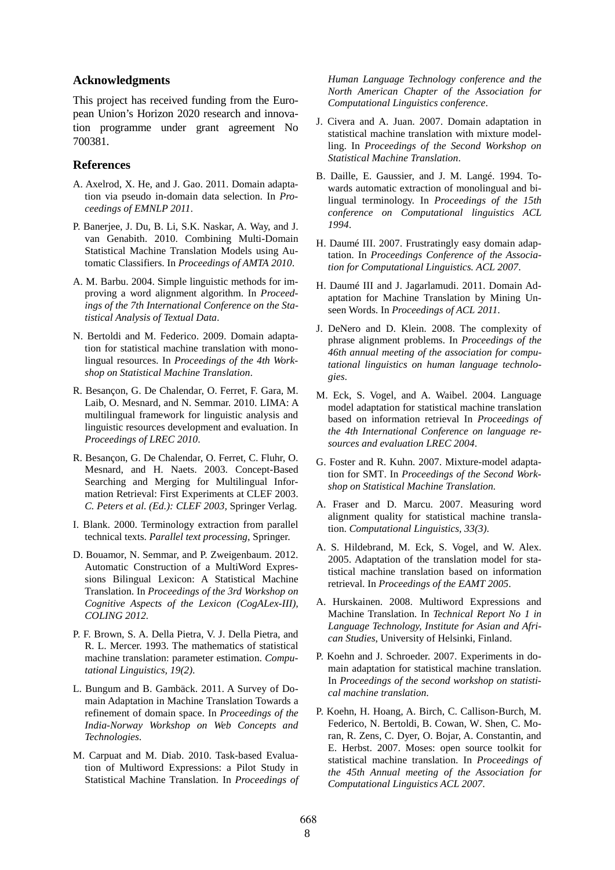#### **Acknowledgments**

This project has received funding from the European Union's Horizon 2020 research and innovation programme under grant agreement No 700381.

#### **References**

- A. Axelrod, X. He, and J. Gao. 2011. Domain adaptation via pseudo in-domain data selection. In *Proceedings of EMNLP 2011*.
- P. Banerjee, J. Du, B. Li, S.K. Naskar, A. Way, and J. van Genabith. 2010. Combining Multi-Domain Statistical Machine Translation Models using Automatic Classifiers. In *Proceedings of AMTA 2010*.
- A. M. Barbu. 2004. Simple linguistic methods for improving a word alignment algorithm. In *Proceedings of the 7th International Conference on the Statistical Analysis of Textual Data*.
- N. Bertoldi and M. Federico. 2009. Domain adaptation for statistical machine translation with monolingual resources. In *Proceedings of the 4th Workshop on Statistical Machine Translation*.
- R. Besançon, G. De Chalendar, O. Ferret, F. Gara, M. Laib, O. Mesnard, and N. Semmar. 2010. LIMA: A multilingual framework for linguistic analysis and linguistic resources development and evaluation. In *Proceedings of LREC 2010*.
- R. Besançon, G. De Chalendar, O. Ferret, C. Fluhr, O. Mesnard, and H. Naets. 2003. Concept-Based Searching and Merging for Multilingual Information Retrieval: First Experiments at CLEF 2003. *C. Peters et al. (Ed.): CLEF 2003,* Springer Verlag.
- I. Blank. 2000. Terminology extraction from parallel technical texts. *Parallel text processing*, Springer.
- D. Bouamor, N. Semmar, and P. Zweigenbaum. 2012. Automatic Construction of a MultiWord Expressions Bilingual Lexicon: A Statistical Machine Translation. In *Proceedings of the 3rd Workshop on Cognitive Aspects of the Lexicon (CogALex-III), COLING 2012.*
- P. F. Brown, S. A. Della Pietra, V. J. Della Pietra, and R. L. Mercer. 1993. The mathematics of statistical machine translation: parameter estimation. *Computational Linguistics, 19(2)*.
- L. Bungum and B. Gambäck. 2011. A Survey of Domain Adaptation in Machine Translation Towards a refinement of domain space. In *Proceedings of the India-Norway Workshop on Web Concepts and Technologies*.
- M. Carpuat and M. Diab. 2010. Task-based Evaluation of Multiword Expressions: a Pilot Study in Statistical Machine Translation. In *Proceedings of*

*Human Language Technology conference and the North American Chapter of the Association for Computational Linguistics conference*.

- J. Civera and A. Juan. 2007. Domain adaptation in statistical machine translation with mixture modelling. In *Proceedings of the Second Workshop on Statistical Machine Translation*.
- B. Daille, E. Gaussier, and J. M. Langé. 1994. Towards automatic extraction of monolingual and bilingual terminology. In *Proceedings of the 15th conference on Computational linguistics ACL 1994*.
- H. Daumé III. 2007. Frustratingly easy domain adaptation. In *Proceedings Conference of the Association for Computational Linguistics. ACL 2007*.
- H. Daumé III and J. Jagarlamudi. 2011. Domain Adaptation for Machine Translation by Mining Unseen Words. In *Proceedings of ACL 2011*.
- J. DeNero and D. Klein. 2008. The complexity of phrase alignment problems. In *Proceedings of the 46th annual meeting of the association for computational linguistics on human language technologies*.
- M. Eck, S. Vogel, and A. Waibel. 2004. Language model adaptation for statistical machine translation based on information retrieval In *Proceedings of the 4th International Conference on language resources and evaluation LREC 2004*.
- G. Foster and R. Kuhn. 2007. Mixture-model adaptation for SMT. In *Proceedings of the Second Workshop on Statistical Machine Translation.*
- A. Fraser and D. Marcu. 2007. Measuring word alignment quality for statistical machine translation. *Computational Linguistics, 33(3)*.
- A. S. Hildebrand, M. Eck, S. Vogel, and W. Alex. 2005. Adaptation of the translation model for statistical machine translation based on information retrieval. In *Proceedings of the EAMT 2005*.
- A. Hurskainen. 2008. Multiword Expressions and Machine Translation. In *Technical Report No 1 in Language Technology, Institute for Asian and African Studies*, University of Helsinki, Finland.
- P. Koehn and J. Schroeder. 2007. Experiments in domain adaptation for statistical machine translation. In *Proceedings of the second workshop on statistical machine translation*.
- P. Koehn, H. Hoang, A. Birch, C. Callison-Burch, M. Federico, N. Bertoldi, B. Cowan, W. Shen, C. Moran, R. Zens, C. Dyer, O. Bojar, A. Constantin, and E. Herbst. 2007. Moses: open source toolkit for statistical machine translation. In *Proceedings of the 45th Annual meeting of the Association for Computational Linguistics ACL 2007*.